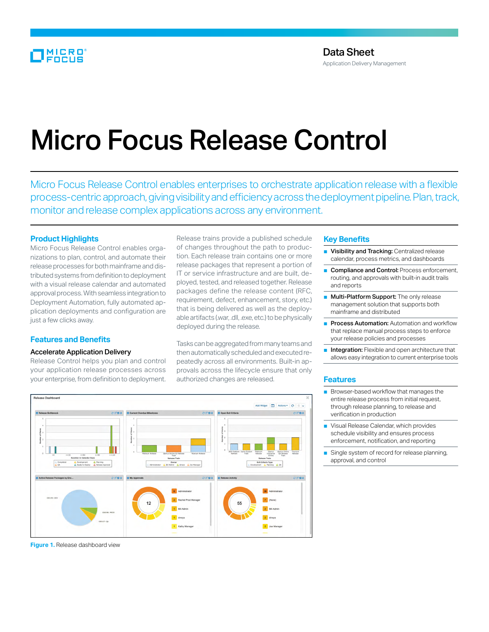# Micro Focus Release Control

Micro Focus Release Control enables enterprises to orchestrate application release with a flexible process-centric approach, giving visibility and efficiency across the deployment pipeline. Plan, track, monitor and release complex applications across any environment.

# **Product Highlights**

Micro Focus Release Control enables organizations to plan, control, and automate their release processes for both mainframe and distributed systems from definition to deployment with a visual release calendar and automated approval process. With seamless integration to Deployment Automation, fully automated application deployments and configuration are just a few clicks away.

# **Features and Benefits**

#### Accelerate Application Delivery

Release Control helps you plan and control your application release processes across your enterprise, from definition to deployment.

Release trains provide a published schedule of changes throughout the path to production. Each release train contains one or more release packages that represent a portion of IT or service infrastructure and are built, deployed, tested, and released together. Release packages define the release content (RFC, requirement, defect, enhancement, story, etc.) that is being delivered as well as the deployable artifacts (.war, .dll, .exe, etc.) to be physically deployed during the release.

Tasks can be aggregated from many teams and then automatically scheduled and executed repeatedly across all environments. Built-in approvals across the lifecycle ensure that only authorized changes are released.



#### **Figure 1.** Release dashboard view

### **Key Benefits**

- Visibility and Tracking: Centralized release calendar, process metrics, and dashboards
- Compliance and Control: Process enforcement, routing, and approvals with built-in audit trails and reports
- Multi-Platform Support: The only release management solution that supports both mainframe and distributed
- Process Automation: Automation and workflow that replace manual process steps to enforce your release policies and processes
- Integration: Flexible and open architecture that allows easy integration to current enterprise tools

# **Features**

- Browser-based workflow that manages the entire release process from initial request, through release planning, to release and verification in production
- Visual Release Calendar, which provides schedule visibility and ensures process enforcement, notification, and reporting
- Single system of record for release planning, approval, and control